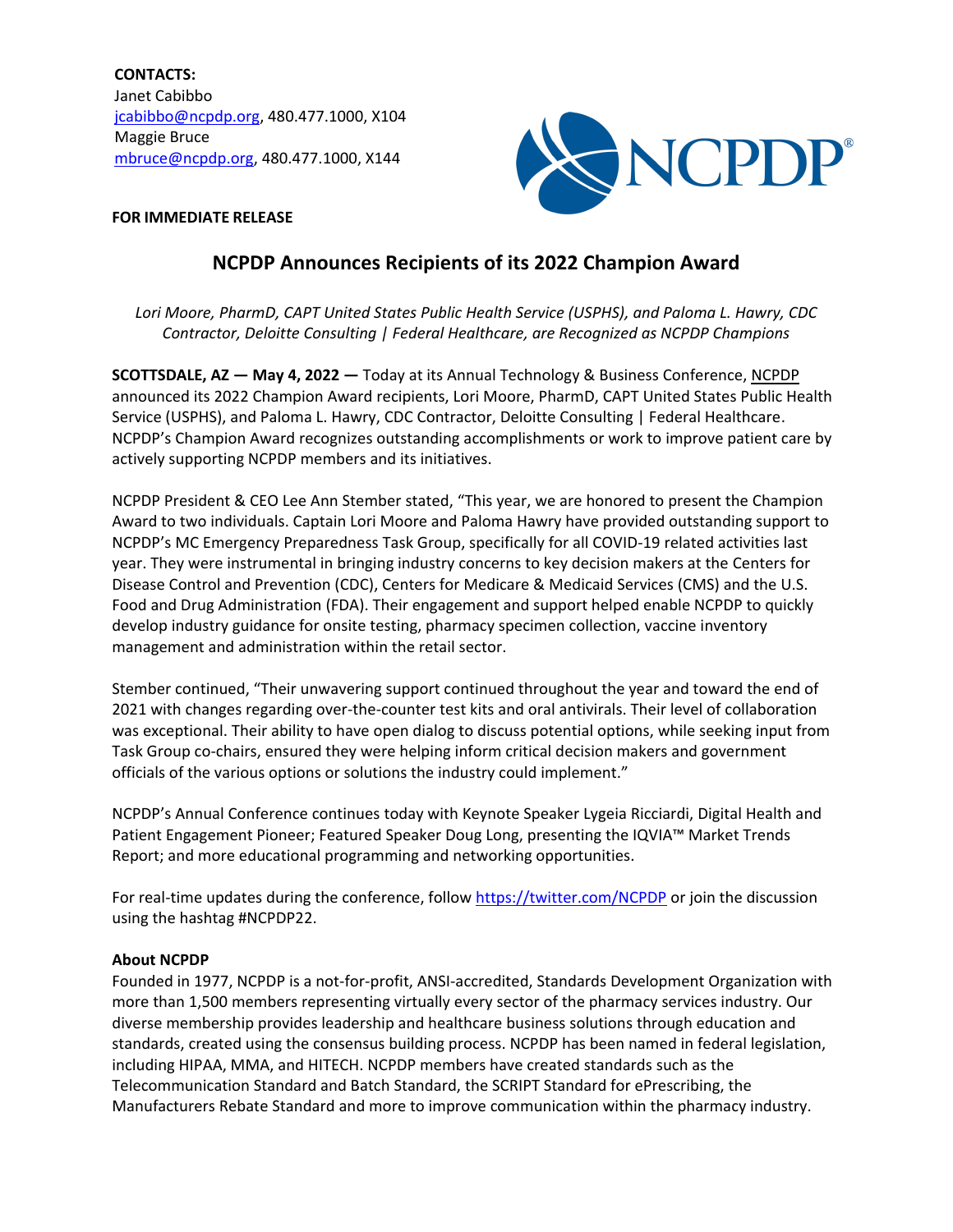**CONTACTS:** Janet Cabibbo [jcabibbo@ncpdp.org,](mailto:jcabibbo@ncpdp.org) 480.477.1000, X104 Maggie Bruce [mbruce@ncpdp.org,](mailto:mbruce@ncpdp.org) 480.477.1000, X144



## **FOR IMMEDIATE RELEASE**

## **NCPDP Announces Recipients of its 2022 Champion Award**

*Lori Moore, PharmD, CAPT United States Public Health Service (USPHS), and Paloma L. Hawry, CDC Contractor, Deloitte Consulting | Federal Healthcare, are Recognized as NCPDP Champions*

**SCOTTSDALE, AZ — May 4, 2022 —** Today at its Annual Technology & Business Conference, [NCPDP](https://www.ncpdp.org/home) announced its 2022 Champion Award recipients, Lori Moore, PharmD, CAPT United States Public Health Service (USPHS), and Paloma L. Hawry, CDC Contractor, Deloitte Consulting | Federal Healthcare. NCPDP's Champion Award recognizes outstanding accomplishments or work to improve patient care by actively supporting NCPDP members and its initiatives.

NCPDP President & CEO Lee Ann Stember stated, "This year, we are honored to present the Champion Award to two individuals. Captain Lori Moore and Paloma Hawry have provided outstanding support to NCPDP's MC Emergency Preparedness Task Group, specifically for all COVID-19 related activities last year. They were instrumental in bringing industry concerns to key decision makers at the Centers for Disease Control and Prevention (CDC), Centers for Medicare & Medicaid Services (CMS) and the U.S. Food and Drug Administration (FDA). Their engagement and support helped enable NCPDP to quickly develop industry guidance for onsite testing, pharmacy specimen collection, vaccine inventory management and administration within the retail sector.

Stember continued, "Their unwavering support continued throughout the year and toward the end of 2021 with changes regarding over-the-counter test kits and oral antivirals. Their level of collaboration was exceptional. Their ability to have open dialog to discuss potential options, while seeking input from Task Group co-chairs, ensured they were helping inform critical decision makers and government officials of the various options or solutions the industry could implement."

NCPDP's Annual Conference continues today with Keynote Speaker Lygeia Ricciardi, Digital Health and Patient Engagement Pioneer; Featured Speaker Doug Long, presenting the IQVIA™ Market Trends Report; and more educational programming and networking opportunities.

For real-time updates during the conference, follow<https://twitter.com/NCPDP> or join the discussion using the hashtag #NCPDP22.

## **About NCPDP**

Founded in 1977, NCPDP is a not-for-profit, ANSI-accredited, Standards Development Organization with more than 1,500 members representing virtually every sector of the pharmacy services industry. Our diverse membership provides leadership and healthcare business solutions through education and standards, created using the consensus building process. NCPDP has been named in federal legislation, including HIPAA, MMA, and HITECH. NCPDP members have created standards such as the Telecommunication Standard and Batch Standard, the SCRIPT Standard for ePrescribing, the Manufacturers Rebate Standard and more to improve communication within the pharmacy industry.